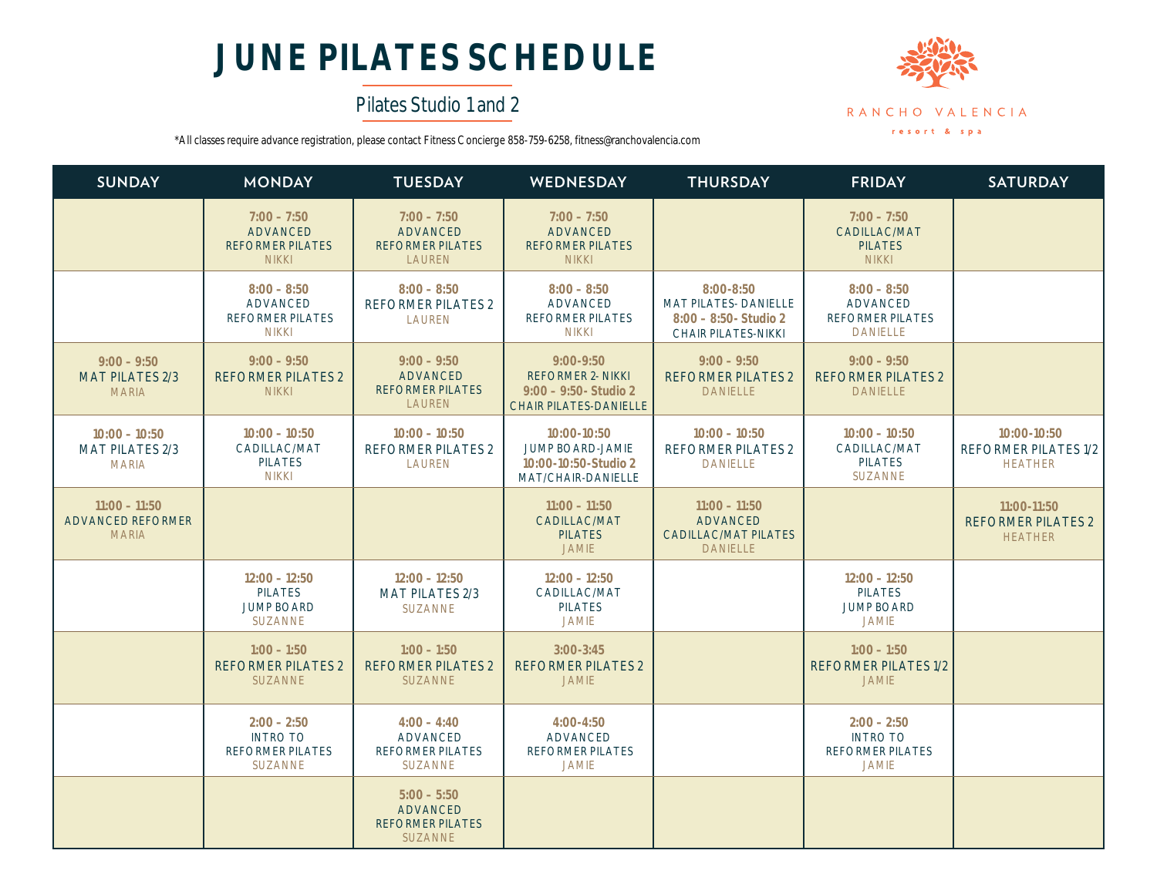# **JUNE PILATES SCHEDULE**

## Pilates Studio 1 and 2



\*All classes require advance registration, please contact Fitness Concierge 858-759-6258, fitness@ranchovalencia.com

| <b>SUNDAY</b>                                               | <b>MONDAY</b>                                                                 | <b>TUESDAY</b>                                                                | WEDNESDAY                                                                                              | <b>THURSDAY</b>                                                                                  | <b>FRIDAY</b>                                                                  | <b>SATURDAY</b>                                              |
|-------------------------------------------------------------|-------------------------------------------------------------------------------|-------------------------------------------------------------------------------|--------------------------------------------------------------------------------------------------------|--------------------------------------------------------------------------------------------------|--------------------------------------------------------------------------------|--------------------------------------------------------------|
|                                                             | $7:00 - 7:50$<br><b>ADVANCED</b><br><b>REFORMER PILATES</b><br><b>NIKKI</b>   | $7:00 - 7:50$<br><b>ADVANCED</b><br><b>REFORMER PILATES</b><br><b>LAUREN</b>  | $7:00 - 7:50$<br><b>ADVANCED</b><br><b>REFORMER PILATES</b><br><b>NIKKI</b>                            |                                                                                                  | $7:00 - 7:50$<br>CADILLAC/MAT<br><b>PILATES</b><br><b>NIKKI</b>                |                                                              |
|                                                             | $8:00 - 8:50$<br><b>ADVANCED</b><br><b>REFORMER PILATES</b><br><b>NIKKI</b>   | $8:00 - 8:50$<br><b>REFORMER PILATES 2</b><br>LAUREN                          | $8:00 - 8:50$<br><b>ADVANCED</b><br><b>REFORMER PILATES</b><br><b>NIKKI</b>                            | $8:00 - 8:50$<br><b>MAT PILATES- DANIELLE</b><br>$8:00 - 8:50 -$ Studio 2<br>CHAIR PILATES-NIKKI | $8:00 - 8:50$<br><b>ADVANCED</b><br><b>REFORMER PILATES</b><br><b>DANIELLE</b> |                                                              |
| $9:00 - 9:50$<br><b>MAT PILATES 2/3</b><br><b>MARIA</b>     | $9:00 - 9:50$<br><b>REFORMER PILATES 2</b><br><b>NIKKI</b>                    | $9:00 - 9:50$<br><b>ADVANCED</b><br><b>REFORMER PILATES</b><br><b>LAUREN</b>  | $9:00 - 9:50$<br><b>REFORMER 2- NIKKI</b><br>$9:00 - 9:50$ - Studio 2<br><b>CHAIR PILATES-DANIELLE</b> | $9:00 - 9:50$<br><b>REFORMER PILATES 2</b><br><b>DANIELLE</b>                                    | $9:00 - 9:50$<br><b>REFORMER PILATES 2</b><br><b>DANIELLE</b>                  |                                                              |
| $10:00 - 10:50$<br><b>MAT PILATES 2/3</b><br><b>MARIA</b>   | $10:00 - 10:50$<br>CADILLAC/MAT<br><b>PILATES</b><br><b>NIKKI</b>             | $10:00 - 10:50$<br><b>REFORMER PILATES 2</b><br>LAUREN                        | $10:00 - 10:50$<br><b>JUMP BOARD-JAMIE</b><br>10:00-10:50-Studio 2<br>MAT/CHAIR-DANIELLE               | $10:00 - 10:50$<br><b>REFORMER PILATES 2</b><br><b>DANIELLE</b>                                  | $10:00 - 10:50$<br>CADILLAC/MAT<br><b>PILATES</b><br><b>SUZANNE</b>            | 10:00-10:50<br><b>REFORMER PILATES 1/2</b><br><b>HEATHER</b> |
| $11:00 - 11:50$<br><b>ADVANCED REFORMER</b><br><b>MARIA</b> |                                                                               |                                                                               | $11:00 - 11:50$<br>CADILLAC/MAT<br><b>PILATES</b><br><b>JAMIE</b>                                      | $11:00 - 11:50$<br><b>ADVANCED</b><br><b>CADILLAC/MAT PILATES</b><br><b>DANIELLE</b>             |                                                                                | $11:00-11:50$<br><b>REFORMER PILATES 2</b><br><b>HEATHER</b> |
|                                                             | $12:00 - 12:50$<br><b>PILATES</b><br><b>JUMP BOARD</b><br><b>SUZANNE</b>      | $12:00 - 12:50$<br><b>MAT PILATES 2/3</b><br><b>SUZANNE</b>                   | $12:00 - 12:50$<br>CADILLAC/MAT<br><b>PILATES</b><br><b>JAMIE</b>                                      |                                                                                                  | $12:00 - 12:50$<br><b>PILATES</b><br><b>JUMP BOARD</b><br><b>JAMIE</b>         |                                                              |
|                                                             | $1:00 - 1:50$<br><b>REFORMER PILATES 2</b><br><b>SUZANNE</b>                  | $1:00 - 1:50$<br><b>REFORMER PILATES 2</b><br><b>SUZANNE</b>                  | $3:00 - 3:45$<br><b>REFORMER PILATES 2</b><br><b>JAMIE</b>                                             |                                                                                                  | $1:00 - 1:50$<br><b>REFORMER PILATES 1/2</b><br><b>JAMIE</b>                   |                                                              |
|                                                             | $2:00 - 2:50$<br><b>INTRO TO</b><br><b>REFORMER PILATES</b><br><b>SUZANNE</b> | $4:00 - 4:40$<br><b>ADVANCED</b><br><b>REFORMER PILATES</b><br><b>SUZANNE</b> | $4:00 - 4:50$<br><b>ADVANCED</b><br><b>REFORMER PILATES</b><br><b>JAMIE</b>                            |                                                                                                  | $2:00 - 2:50$<br><b>INTRO TO</b><br><b>REFORMER PILATES</b><br><b>JAMIE</b>    |                                                              |
|                                                             |                                                                               | $5:00 - 5:50$<br><b>ADVANCED</b><br><b>REFORMER PILATES</b><br><b>SUZANNE</b> |                                                                                                        |                                                                                                  |                                                                                |                                                              |